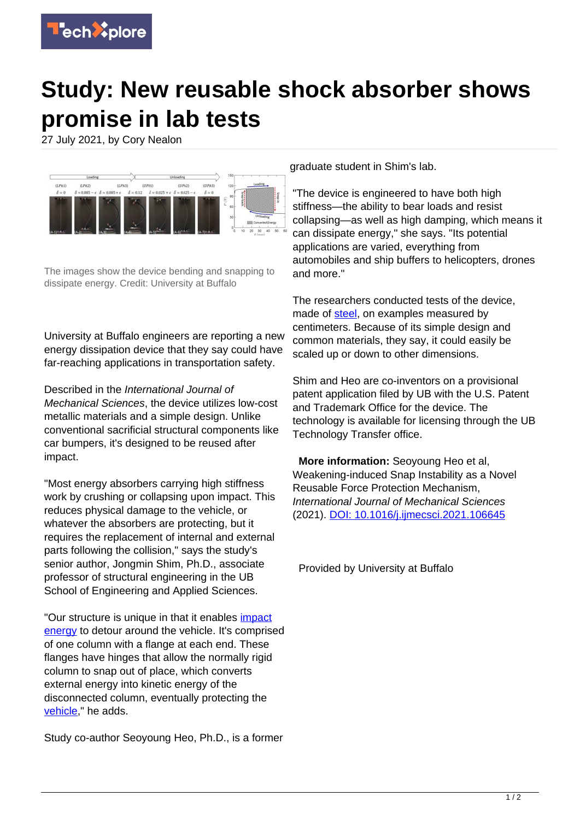

## **Study: New reusable shock absorber shows promise in lab tests**

27 July 2021, by Cory Nealon



The images show the device bending and snapping to dissipate energy. Credit: University at Buffalo

University at Buffalo engineers are reporting a new energy dissipation device that they say could have far-reaching applications in transportation safety.

Described in the International Journal of Mechanical Sciences, the device utilizes low-cost metallic materials and a simple design. Unlike conventional sacrificial structural components like car bumpers, it's designed to be reused after impact.

"Most energy absorbers carrying high stiffness work by crushing or collapsing upon impact. This reduces physical damage to the vehicle, or whatever the absorbers are protecting, but it requires the replacement of internal and external parts following the collision," says the study's senior author, Jongmin Shim, Ph.D., associate professor of structural engineering in the UB School of Engineering and Applied Sciences.

"Our structure is unique in that it enables [impact](https://techxplore.com/tags/impact+energy/) [energy](https://techxplore.com/tags/impact+energy/) to detour around the vehicle. It's comprised of one column with a flange at each end. These flanges have hinges that allow the normally rigid column to snap out of place, which converts external energy into kinetic energy of the disconnected column, eventually protecting the [vehicle,](https://techxplore.com/tags/vehicle/)" he adds.

Study co-author Seoyoung Heo, Ph.D., is a former

graduate student in Shim's lab.

"The device is engineered to have both high stiffness—the ability to bear loads and resist collapsing—as well as high damping, which means it can dissipate energy," she says. "Its potential applications are varied, everything from automobiles and ship buffers to helicopters, drones and more."

The researchers conducted tests of the device, made of [steel,](https://techxplore.com/tags/steel/) on examples measured by centimeters. Because of its simple design and common materials, they say, it could easily be scaled up or down to other dimensions.

Shim and Heo are co-inventors on a provisional patent application filed by UB with the U.S. Patent and Trademark Office for the device. The technology is available for licensing through the UB Technology Transfer office.

 **More information:** Seoyoung Heo et al, Weakening-induced Snap Instability as a Novel Reusable Force Protection Mechanism, International Journal of Mechanical Sciences (2021). [DOI: 10.1016/j.ijmecsci.2021.106645](http://dx.doi.org/10.1016/j.ijmecsci.2021.106645)

Provided by University at Buffalo